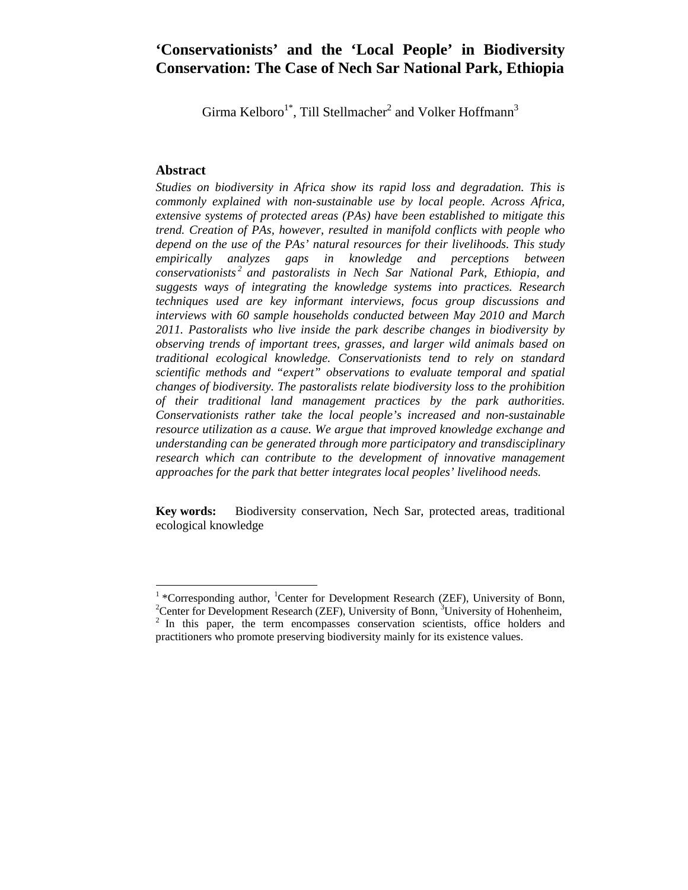# **'Conservationists' and the 'Local People' in Biodiversity Conservation: The Case of Nech Sar National Park, Ethiopia**

Girma Kelboro<sup>1\*</sup>, Till Stellmacher<sup>2</sup> and Volker Hoffmann<sup>3</sup>

### **Abstract**

*Studies on biodiversity in Africa show its rapid loss and degradation. This is commonly explained with non-sustainable use by local people. Across Africa, extensive systems of protected areas (PAs) have been established to mitigate this trend. Creation of PAs, however, resulted in manifold conflicts with people who depend on the use of the PAs' natural resources for their livelihoods. This study empirically analyzes gaps in knowledge and perceptions between conservationists 2 and pastoralists in Nech Sar National Park, Ethiopia, and suggests ways of integrating the knowledge systems into practices. Research techniques used are key informant interviews, focus group discussions and interviews with 60 sample households conducted between May 2010 and March 2011. Pastoralists who live inside the park describe changes in biodiversity by observing trends of important trees, grasses, and larger wild animals based on traditional ecological knowledge. Conservationists tend to rely on standard scientific methods and "expert" observations to evaluate temporal and spatial changes of biodiversity. The pastoralists relate biodiversity loss to the prohibition of their traditional land management practices by the park authorities. Conservationists rather take the local people's increased and non-sustainable resource utilization as a cause. We argue that improved knowledge exchange and understanding can be generated through more participatory and transdisciplinary*  research which can contribute to the development of innovative management *approaches for the park that better integrates local peoples' livelihood needs.* 

**Key words:** Biodiversity conservation, Nech Sar, protected areas, traditional ecological knowledge

<sup>&</sup>lt;sup>1</sup> \*Corresponding author, <sup>1</sup>Center for Development Research (ZEF), University of Bonn, <sup>2</sup>Center for Development Research (ZEF), University of Hohenboir <sup>2</sup> Center for Development Research (ZEF), University of Bonn,  $3$  University of Hohenheim,  $2$  In this paper, the term encompasses conservation scientists, office holders and practitioners who promote preserving biodiversity mainly for its existence values.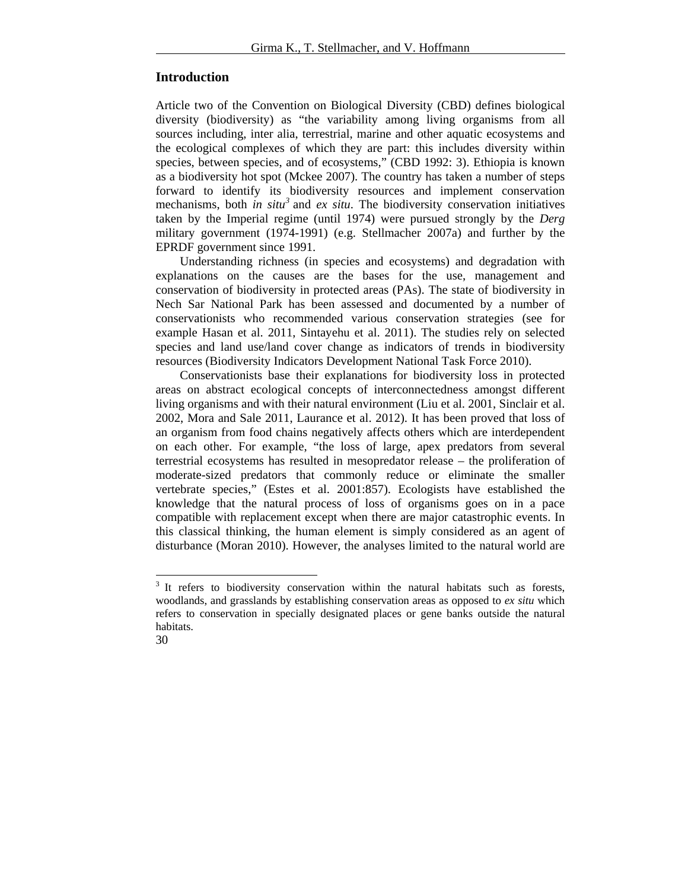### **Introduction**

Article two of the Convention on Biological Diversity (CBD) defines biological diversity (biodiversity) as "the variability among living organisms from all sources including, inter alia, terrestrial, marine and other aquatic ecosystems and the ecological complexes of which they are part: this includes diversity within species, between species, and of ecosystems," (CBD 1992: 3). Ethiopia is known as a biodiversity hot spot (Mckee 2007). The country has taken a number of steps forward to identify its biodiversity resources and implement conservation mechanisms, both *in situ*<sup>3</sup> and *ex situ*. The biodiversity conservation initiatives taken by the Imperial regime (until 1974) were pursued strongly by the *Derg* military government (1974-1991) (e.g. Stellmacher 2007a) and further by the EPRDF government since 1991.

Understanding richness (in species and ecosystems) and degradation with explanations on the causes are the bases for the use, management and conservation of biodiversity in protected areas (PAs). The state of biodiversity in Nech Sar National Park has been assessed and documented by a number of conservationists who recommended various conservation strategies (see for example Hasan et al. 2011, Sintayehu et al. 2011). The studies rely on selected species and land use/land cover change as indicators of trends in biodiversity resources (Biodiversity Indicators Development National Task Force 2010).

Conservationists base their explanations for biodiversity loss in protected areas on abstract ecological concepts of interconnectedness amongst different living organisms and with their natural environment (Liu et al. 2001, Sinclair et al. 2002, Mora and Sale 2011, Laurance et al. 2012). It has been proved that loss of an organism from food chains negatively affects others which are interdependent on each other. For example, "the loss of large, apex predators from several terrestrial ecosystems has resulted in mesopredator release – the proliferation of moderate-sized predators that commonly reduce or eliminate the smaller vertebrate species," (Estes et al. 2001:857). Ecologists have established the knowledge that the natural process of loss of organisms goes on in a pace compatible with replacement except when there are major catastrophic events. In this classical thinking, the human element is simply considered as an agent of disturbance (Moran 2010). However, the analyses limited to the natural world are

<sup>&</sup>lt;sup>3</sup> It refers to biodiversity conservation within the natural habitats such as forests, woodlands, and grasslands by establishing conservation areas as opposed to *ex situ* which refers to conservation in specially designated places or gene banks outside the natural habitats.

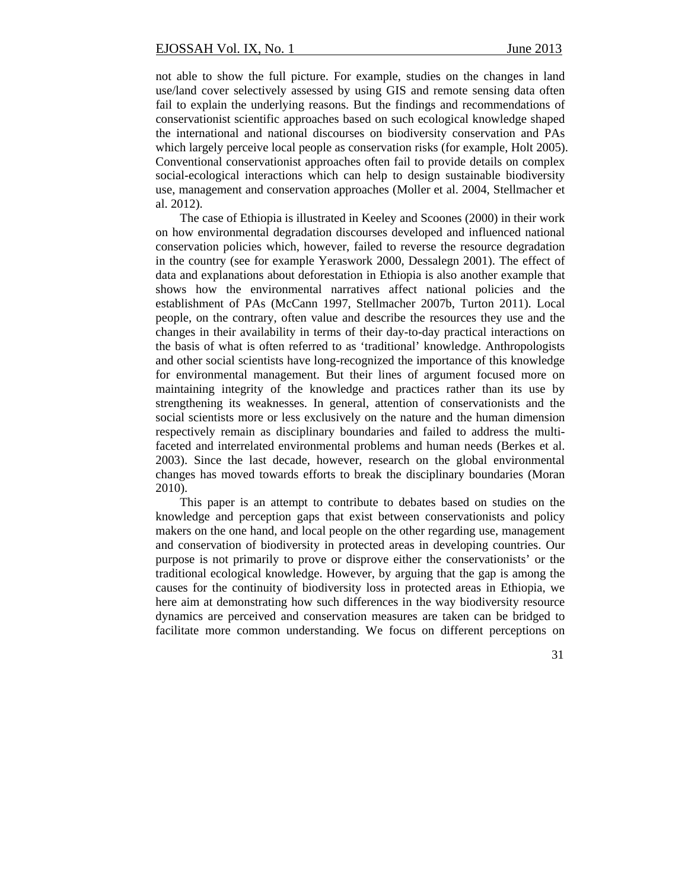not able to show the full picture. For example, studies on the changes in land use/land cover selectively assessed by using GIS and remote sensing data often fail to explain the underlying reasons. But the findings and recommendations of conservationist scientific approaches based on such ecological knowledge shaped the international and national discourses on biodiversity conservation and PAs which largely perceive local people as conservation risks (for example, Holt 2005). Conventional conservationist approaches often fail to provide details on complex social-ecological interactions which can help to design sustainable biodiversity use, management and conservation approaches (Moller et al. 2004, Stellmacher et al. 2012).

The case of Ethiopia is illustrated in Keeley and Scoones (2000) in their work on how environmental degradation discourses developed and influenced national conservation policies which, however, failed to reverse the resource degradation in the country (see for example Yeraswork 2000, Dessalegn 2001). The effect of data and explanations about deforestation in Ethiopia is also another example that shows how the environmental narratives affect national policies and the establishment of PAs (McCann 1997, Stellmacher 2007b, Turton 2011). Local people, on the contrary, often value and describe the resources they use and the changes in their availability in terms of their day-to-day practical interactions on the basis of what is often referred to as 'traditional' knowledge. Anthropologists and other social scientists have long-recognized the importance of this knowledge for environmental management. But their lines of argument focused more on maintaining integrity of the knowledge and practices rather than its use by strengthening its weaknesses. In general, attention of conservationists and the social scientists more or less exclusively on the nature and the human dimension respectively remain as disciplinary boundaries and failed to address the multifaceted and interrelated environmental problems and human needs (Berkes et al. 2003). Since the last decade, however, research on the global environmental changes has moved towards efforts to break the disciplinary boundaries (Moran 2010).

This paper is an attempt to contribute to debates based on studies on the knowledge and perception gaps that exist between conservationists and policy makers on the one hand, and local people on the other regarding use, management and conservation of biodiversity in protected areas in developing countries. Our purpose is not primarily to prove or disprove either the conservationists' or the traditional ecological knowledge. However, by arguing that the gap is among the causes for the continuity of biodiversity loss in protected areas in Ethiopia, we here aim at demonstrating how such differences in the way biodiversity resource dynamics are perceived and conservation measures are taken can be bridged to facilitate more common understanding. We focus on different perceptions on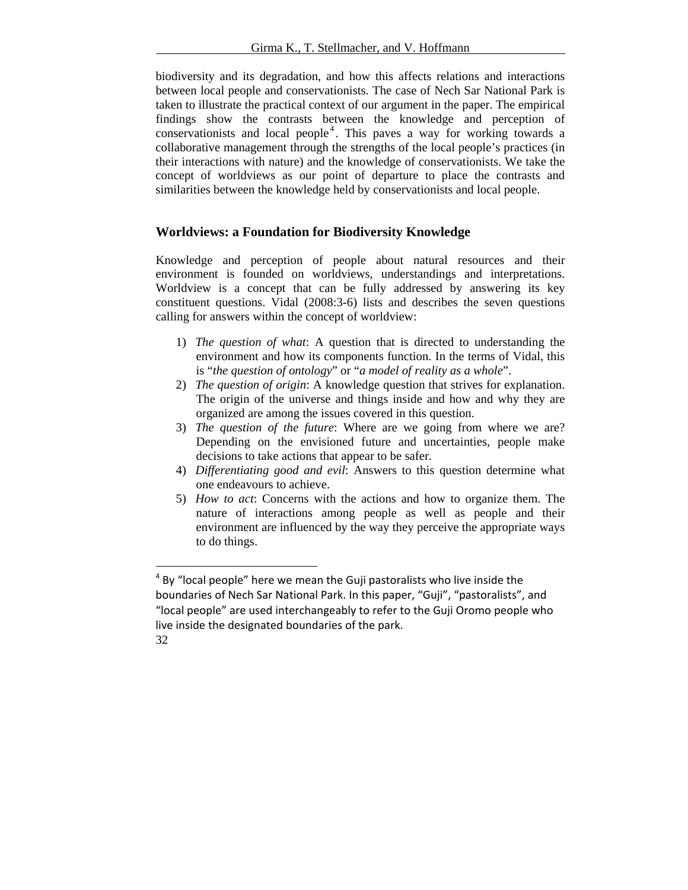biodiversity and its degradation, and how this affects relations and interactions between local people and conservationists. The case of Nech Sar National Park is taken to illustrate the practical context of our argument in the paper. The empirical findings show the contrasts between the knowledge and perception of conservationists and local people<sup>4</sup>. This paves a way for working towards a collaborative management through the strengths of the local people's practices (in their interactions with nature) and the knowledge of conservationists. We take the concept of worldviews as our point of departure to place the contrasts and similarities between the knowledge held by conservationists and local people.

# **Worldviews: a Foundation for Biodiversity Knowledge**

Knowledge and perception of people about natural resources and their environment is founded on worldviews, understandings and interpretations. Worldview is a concept that can be fully addressed by answering its key constituent questions. Vidal (2008:3-6) lists and describes the seven questions calling for answers within the concept of worldview:

- 1) *The question of what*: A question that is directed to understanding the environment and how its components function. In the terms of Vidal, this is "*the question of ontology*" or "*a model of reality as a whole*".
- 2) *The question of origin*: A knowledge question that strives for explanation. The origin of the universe and things inside and how and why they are organized are among the issues covered in this question.
- 3) *The question of the future*: Where are we going from where we are? Depending on the envisioned future and uncertainties, people make decisions to take actions that appear to be safer.
- 4) *Differentiating good and evil*: Answers to this question determine what one endeavours to achieve.
- 5) *How to act*: Concerns with the actions and how to organize them. The nature of interactions among people as well as people and their environment are influenced by the way they perceive the appropriate ways to do things.

<sup>32</sup>   $<sup>4</sup>$  By "local people" here we mean the Guji pastoralists who live inside the</sup> boundaries of Nech Sar National Park. In this paper, "Guji", "pastoralists", and "local people" are used interchangeably to refer to the Guji Oromo people who live inside the designated boundaries of the park.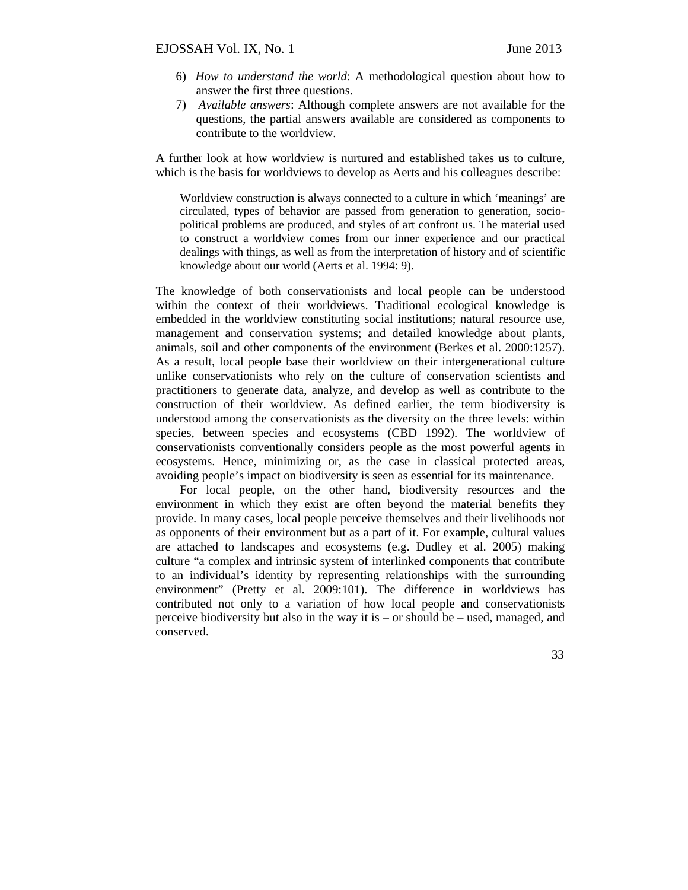- 6) *How to understand the world*: A methodological question about how to answer the first three questions.
- 7) *Available answers*: Although complete answers are not available for the questions, the partial answers available are considered as components to contribute to the worldview.

A further look at how worldview is nurtured and established takes us to culture, which is the basis for worldviews to develop as Aerts and his colleagues describe:

Worldview construction is always connected to a culture in which 'meanings' are circulated, types of behavior are passed from generation to generation, sociopolitical problems are produced, and styles of art confront us. The material used to construct a worldview comes from our inner experience and our practical dealings with things, as well as from the interpretation of history and of scientific knowledge about our world (Aerts et al. 1994: 9).

The knowledge of both conservationists and local people can be understood within the context of their worldviews. Traditional ecological knowledge is embedded in the worldview constituting social institutions; natural resource use, management and conservation systems; and detailed knowledge about plants, animals, soil and other components of the environment (Berkes et al. 2000:1257). As a result, local people base their worldview on their intergenerational culture unlike conservationists who rely on the culture of conservation scientists and practitioners to generate data, analyze, and develop as well as contribute to the construction of their worldview. As defined earlier, the term biodiversity is understood among the conservationists as the diversity on the three levels: within species, between species and ecosystems (CBD 1992). The worldview of conservationists conventionally considers people as the most powerful agents in ecosystems. Hence, minimizing or, as the case in classical protected areas, avoiding people's impact on biodiversity is seen as essential for its maintenance.

For local people, on the other hand, biodiversity resources and the environment in which they exist are often beyond the material benefits they provide. In many cases, local people perceive themselves and their livelihoods not as opponents of their environment but as a part of it. For example, cultural values are attached to landscapes and ecosystems (e.g. Dudley et al. 2005) making culture "a complex and intrinsic system of interlinked components that contribute to an individual's identity by representing relationships with the surrounding environment" (Pretty et al. 2009:101). The difference in worldviews has contributed not only to a variation of how local people and conservationists perceive biodiversity but also in the way it is – or should be – used, managed, and conserved.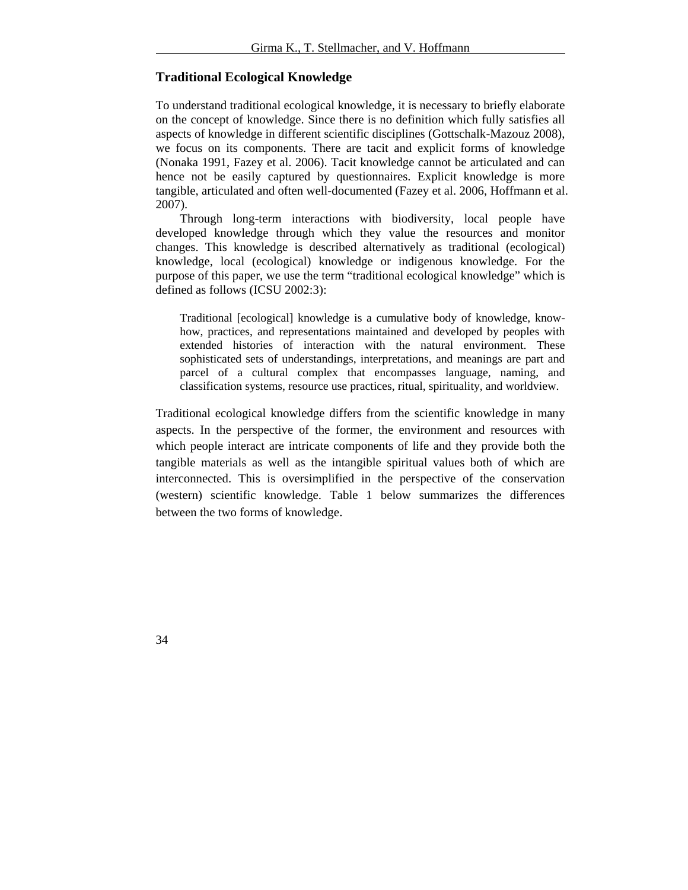# **Traditional Ecological Knowledge**

To understand traditional ecological knowledge, it is necessary to briefly elaborate on the concept of knowledge. Since there is no definition which fully satisfies all aspects of knowledge in different scientific disciplines (Gottschalk-Mazouz 2008), we focus on its components. There are tacit and explicit forms of knowledge (Nonaka 1991, Fazey et al. 2006). Tacit knowledge cannot be articulated and can hence not be easily captured by questionnaires. Explicit knowledge is more tangible, articulated and often well-documented (Fazey et al. 2006, Hoffmann et al. 2007).

Through long-term interactions with biodiversity, local people have developed knowledge through which they value the resources and monitor changes. This knowledge is described alternatively as traditional (ecological) knowledge, local (ecological) knowledge or indigenous knowledge. For the purpose of this paper, we use the term "traditional ecological knowledge" which is defined as follows (ICSU 2002:3):

Traditional [ecological] knowledge is a cumulative body of knowledge, knowhow, practices, and representations maintained and developed by peoples with extended histories of interaction with the natural environment. These sophisticated sets of understandings, interpretations, and meanings are part and parcel of a cultural complex that encompasses language, naming, and classification systems, resource use practices, ritual, spirituality, and worldview.

Traditional ecological knowledge differs from the scientific knowledge in many aspects. In the perspective of the former, the environment and resources with which people interact are intricate components of life and they provide both the tangible materials as well as the intangible spiritual values both of which are interconnected. This is oversimplified in the perspective of the conservation (western) scientific knowledge. Table 1 below summarizes the differences between the two forms of knowledge.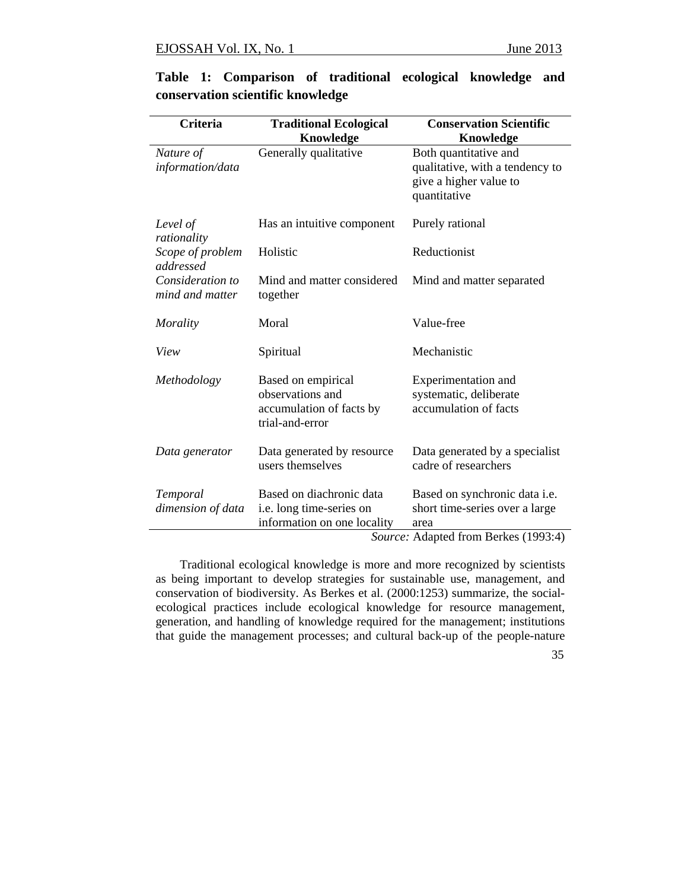| <b>Criteria</b>                     | <b>Conservation Scientific</b><br><b>Traditional Ecological</b>                       |                                                                                                                     |  |
|-------------------------------------|---------------------------------------------------------------------------------------|---------------------------------------------------------------------------------------------------------------------|--|
|                                     | Knowledge                                                                             | <b>Knowledge</b>                                                                                                    |  |
| Nature of<br>information/data       | Generally qualitative                                                                 | Both quantitative and<br>qualitative, with a tendency to<br>give a higher value to<br>quantitative                  |  |
| Level of<br>rationality             | Has an intuitive component                                                            | Purely rational                                                                                                     |  |
| Scope of problem<br>addressed       | Holistic                                                                              | Reductionist                                                                                                        |  |
| Consideration to<br>mind and matter | Mind and matter considered<br>together                                                | Mind and matter separated                                                                                           |  |
| Morality                            | Moral                                                                                 | Value-free                                                                                                          |  |
| View                                | Spiritual                                                                             | Mechanistic                                                                                                         |  |
| Methodology                         | Based on empirical<br>observations and<br>accumulation of facts by<br>trial-and-error | Experimentation and<br>systematic, deliberate<br>accumulation of facts                                              |  |
| Data generator                      | Data generated by resource<br>users themselves                                        | Data generated by a specialist<br>cadre of researchers                                                              |  |
| Temporal<br>dimension of data       | Based on diachronic data<br>i.e. long time-series on<br>information on one locality   | Based on synchronic data i.e.<br>short time-series over a large<br>area<br>$1.1 \t1.0 \t\t \overline{R}$ 1 (1000 1) |  |

**Table 1: Comparison of traditional ecological knowledge and conservation scientific knowledge** 

*Source:* Adapted from Berkes (1993:4)

Traditional ecological knowledge is more and more recognized by scientists as being important to develop strategies for sustainable use, management, and conservation of biodiversity. As Berkes et al. (2000:1253) summarize, the socialecological practices include ecological knowledge for resource management, generation, and handling of knowledge required for the management; institutions that guide the management processes; and cultural back-up of the people-nature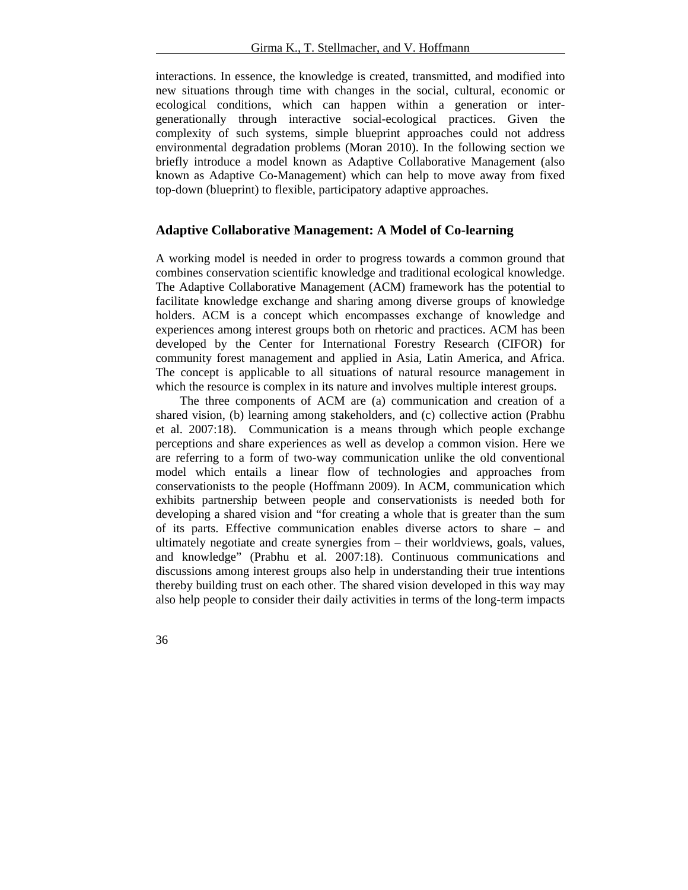interactions. In essence, the knowledge is created, transmitted, and modified into new situations through time with changes in the social, cultural, economic or ecological conditions, which can happen within a generation or intergenerationally through interactive social-ecological practices. Given the complexity of such systems, simple blueprint approaches could not address environmental degradation problems (Moran 2010). In the following section we briefly introduce a model known as Adaptive Collaborative Management (also known as Adaptive Co-Management) which can help to move away from fixed top-down (blueprint) to flexible, participatory adaptive approaches.

### **Adaptive Collaborative Management: A Model of Co-learning**

A working model is needed in order to progress towards a common ground that combines conservation scientific knowledge and traditional ecological knowledge. The Adaptive Collaborative Management (ACM) framework has the potential to facilitate knowledge exchange and sharing among diverse groups of knowledge holders. ACM is a concept which encompasses exchange of knowledge and experiences among interest groups both on rhetoric and practices. ACM has been developed by the Center for International Forestry Research (CIFOR) for community forest management and applied in Asia, Latin America, and Africa. The concept is applicable to all situations of natural resource management in which the resource is complex in its nature and involves multiple interest groups.

The three components of ACM are (a) communication and creation of a shared vision, (b) learning among stakeholders, and (c) collective action (Prabhu et al. 2007:18). Communication is a means through which people exchange perceptions and share experiences as well as develop a common vision. Here we are referring to a form of two-way communication unlike the old conventional model which entails a linear flow of technologies and approaches from conservationists to the people (Hoffmann 2009). In ACM, communication which exhibits partnership between people and conservationists is needed both for developing a shared vision and "for creating a whole that is greater than the sum of its parts. Effective communication enables diverse actors to share – and ultimately negotiate and create synergies from – their worldviews, goals, values, and knowledge" (Prabhu et al. 2007:18). Continuous communications and discussions among interest groups also help in understanding their true intentions thereby building trust on each other. The shared vision developed in this way may also help people to consider their daily activities in terms of the long-term impacts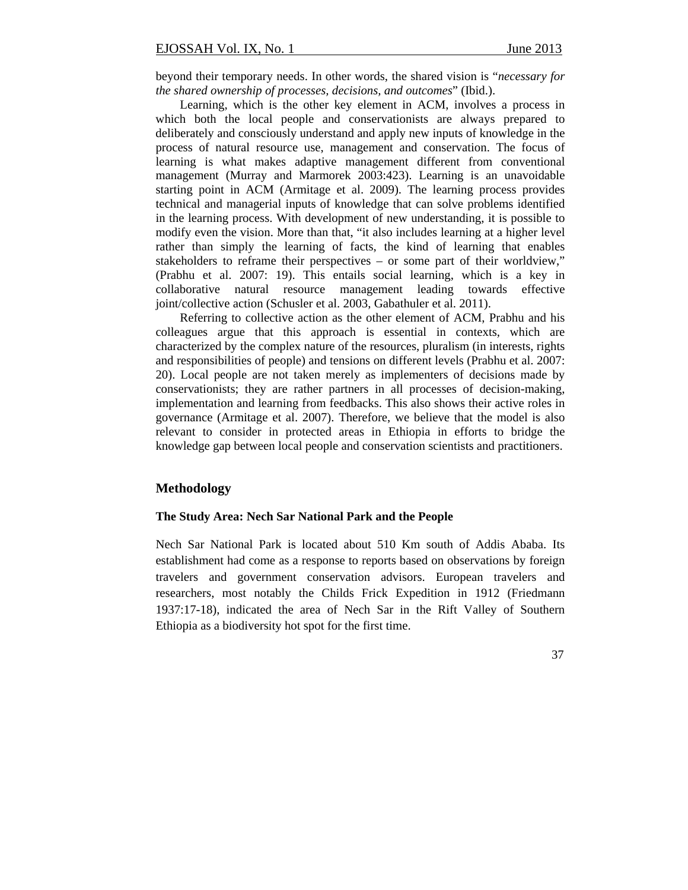beyond their temporary needs. In other words, the shared vision is "*necessary for the shared ownership of processes, decisions, and outcomes*" (Ibid.).

Learning, which is the other key element in ACM, involves a process in which both the local people and conservationists are always prepared to deliberately and consciously understand and apply new inputs of knowledge in the process of natural resource use, management and conservation. The focus of learning is what makes adaptive management different from conventional management (Murray and Marmorek 2003:423). Learning is an unavoidable starting point in ACM (Armitage et al. 2009). The learning process provides technical and managerial inputs of knowledge that can solve problems identified in the learning process. With development of new understanding, it is possible to modify even the vision. More than that, "it also includes learning at a higher level rather than simply the learning of facts, the kind of learning that enables stakeholders to reframe their perspectives – or some part of their worldview," (Prabhu et al. 2007: 19). This entails social learning, which is a key in collaborative natural resource management leading towards effective joint/collective action (Schusler et al. 2003, Gabathuler et al. 2011).

Referring to collective action as the other element of ACM, Prabhu and his colleagues argue that this approach is essential in contexts, which are characterized by the complex nature of the resources, pluralism (in interests, rights and responsibilities of people) and tensions on different levels (Prabhu et al. 2007: 20). Local people are not taken merely as implementers of decisions made by conservationists; they are rather partners in all processes of decision-making, implementation and learning from feedbacks. This also shows their active roles in governance (Armitage et al. 2007). Therefore, we believe that the model is also relevant to consider in protected areas in Ethiopia in efforts to bridge the knowledge gap between local people and conservation scientists and practitioners.

# **Methodology**

#### **The Study Area: Nech Sar National Park and the People**

Nech Sar National Park is located about 510 Km south of Addis Ababa. Its establishment had come as a response to reports based on observations by foreign travelers and government conservation advisors. European travelers and researchers, most notably the Childs Frick Expedition in 1912 (Friedmann 1937:17-18), indicated the area of Nech Sar in the Rift Valley of Southern Ethiopia as a biodiversity hot spot for the first time.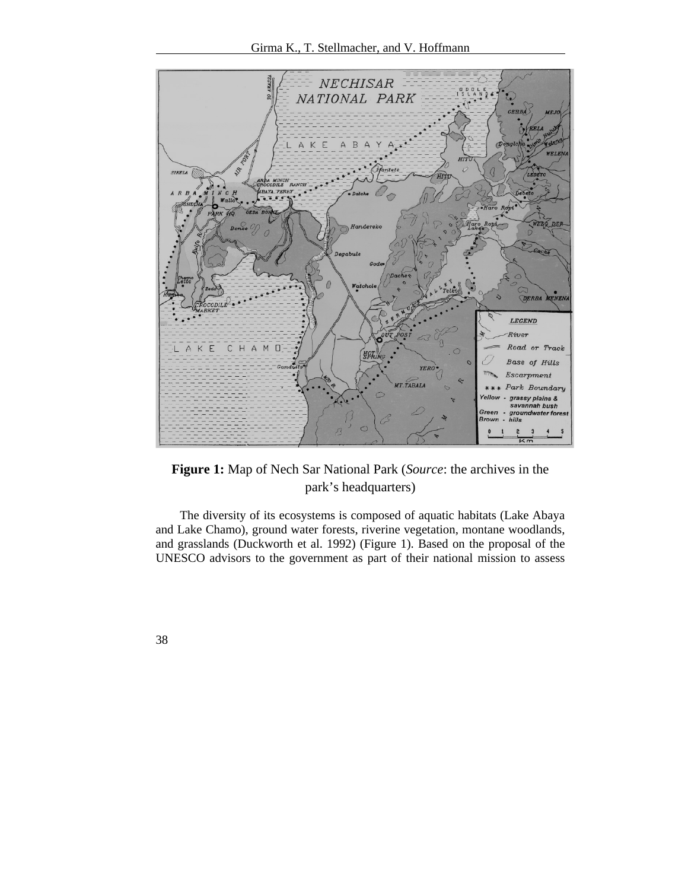

**Figure 1:** Map of Nech Sar National Park (*Source*: the archives in the park's headquarters)

The diversity of its ecosystems is composed of aquatic habitats (Lake Abaya and Lake Chamo), ground water forests, riverine vegetation, montane woodlands, and grasslands (Duckworth et al. 1992) (Figure 1). Based on the proposal of the UNESCO advisors to the government as part of their national mission to assess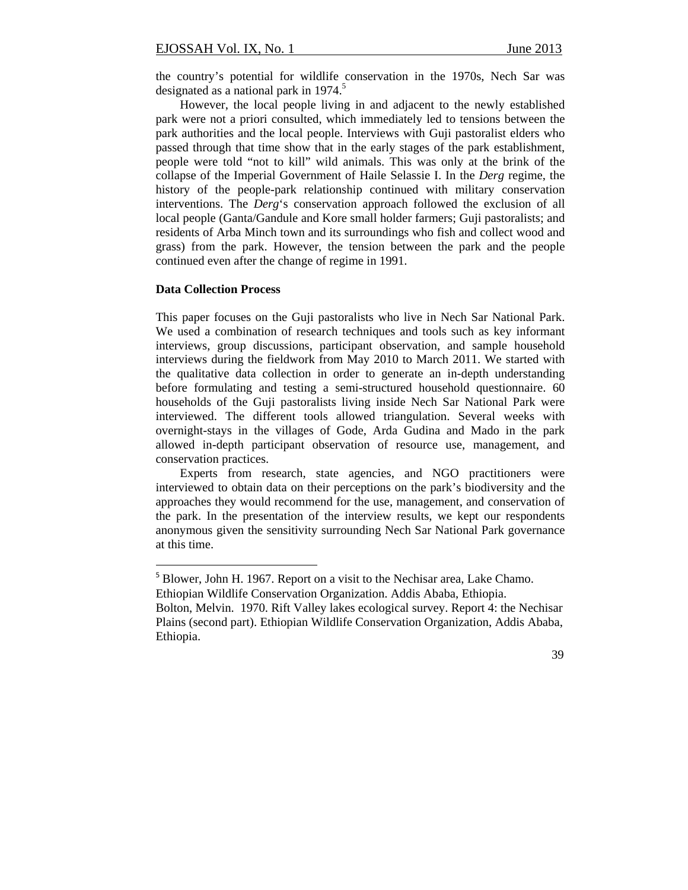the country's potential for wildlife conservation in the 1970s, Nech Sar was designated as a national park in 1974.<sup>5</sup>

However, the local people living in and adjacent to the newly established park were not a priori consulted, which immediately led to tensions between the park authorities and the local people. Interviews with Guji pastoralist elders who passed through that time show that in the early stages of the park establishment, people were told "not to kill" wild animals. This was only at the brink of the collapse of the Imperial Government of Haile Selassie I. In the *Derg* regime, the history of the people-park relationship continued with military conservation interventions. The *Derg*'s conservation approach followed the exclusion of all local people (Ganta/Gandule and Kore small holder farmers; Guji pastoralists; and residents of Arba Minch town and its surroundings who fish and collect wood and grass) from the park. However, the tension between the park and the people continued even after the change of regime in 1991.

#### **Data Collection Process**

This paper focuses on the Guji pastoralists who live in Nech Sar National Park. We used a combination of research techniques and tools such as key informant interviews, group discussions, participant observation, and sample household interviews during the fieldwork from May 2010 to March 2011. We started with the qualitative data collection in order to generate an in-depth understanding before formulating and testing a semi-structured household questionnaire. 60 households of the Guji pastoralists living inside Nech Sar National Park were interviewed. The different tools allowed triangulation. Several weeks with overnight-stays in the villages of Gode, Arda Gudina and Mado in the park allowed in-depth participant observation of resource use, management, and conservation practices.

Experts from research, state agencies, and NGO practitioners were interviewed to obtain data on their perceptions on the park's biodiversity and the approaches they would recommend for the use, management, and conservation of the park. In the presentation of the interview results, we kept our respondents anonymous given the sensitivity surrounding Nech Sar National Park governance at this time.

<sup>&</sup>lt;sup>5</sup> Blower, John H. 1967. Report on a visit to the Nechisar area, Lake Chamo.

Ethiopian Wildlife Conservation Organization. Addis Ababa, Ethiopia.

Bolton, Melvin. 1970. Rift Valley lakes ecological survey. Report 4: the Nechisar Plains (second part). Ethiopian Wildlife Conservation Organization, Addis Ababa, Ethiopia.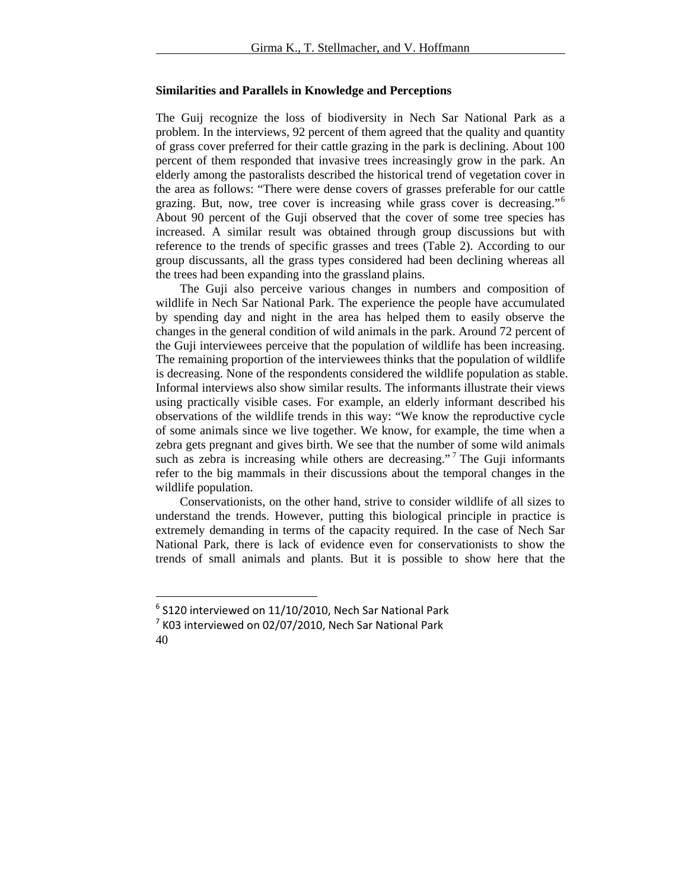#### **Similarities and Parallels in Knowledge and Perceptions**

The Guij recognize the loss of biodiversity in Nech Sar National Park as a problem. In the interviews, 92 percent of them agreed that the quality and quantity of grass cover preferred for their cattle grazing in the park is declining. About 100 percent of them responded that invasive trees increasingly grow in the park. An elderly among the pastoralists described the historical trend of vegetation cover in the area as follows: "There were dense covers of grasses preferable for our cattle grazing. But, now, tree cover is increasing while grass cover is decreasing."<sup>6</sup> About 90 percent of the Guji observed that the cover of some tree species has increased. A similar result was obtained through group discussions but with reference to the trends of specific grasses and trees (Table 2). According to our group discussants, all the grass types considered had been declining whereas all the trees had been expanding into the grassland plains.

The Guji also perceive various changes in numbers and composition of wildlife in Nech Sar National Park. The experience the people have accumulated by spending day and night in the area has helped them to easily observe the changes in the general condition of wild animals in the park. Around 72 percent of the Guji interviewees perceive that the population of wildlife has been increasing. The remaining proportion of the interviewees thinks that the population of wildlife is decreasing. None of the respondents considered the wildlife population as stable. Informal interviews also show similar results. The informants illustrate their views using practically visible cases. For example, an elderly informant described his observations of the wildlife trends in this way: "We know the reproductive cycle of some animals since we live together. We know, for example, the time when a zebra gets pregnant and gives birth. We see that the number of some wild animals such as zebra is increasing while others are decreasing."<sup>7</sup> The Guji informants refer to the big mammals in their discussions about the temporal changes in the wildlife population.

Conservationists, on the other hand, strive to consider wildlife of all sizes to understand the trends. However, putting this biological principle in practice is extremely demanding in terms of the capacity required. In the case of Nech Sar National Park, there is lack of evidence even for conservationists to show the trends of small animals and plants. But it is possible to show here that the

 $6$  S120 interviewed on 11/10/2010, Nech Sar National Park

<sup>40</sup>   $7$  K03 interviewed on 02/07/2010, Nech Sar National Park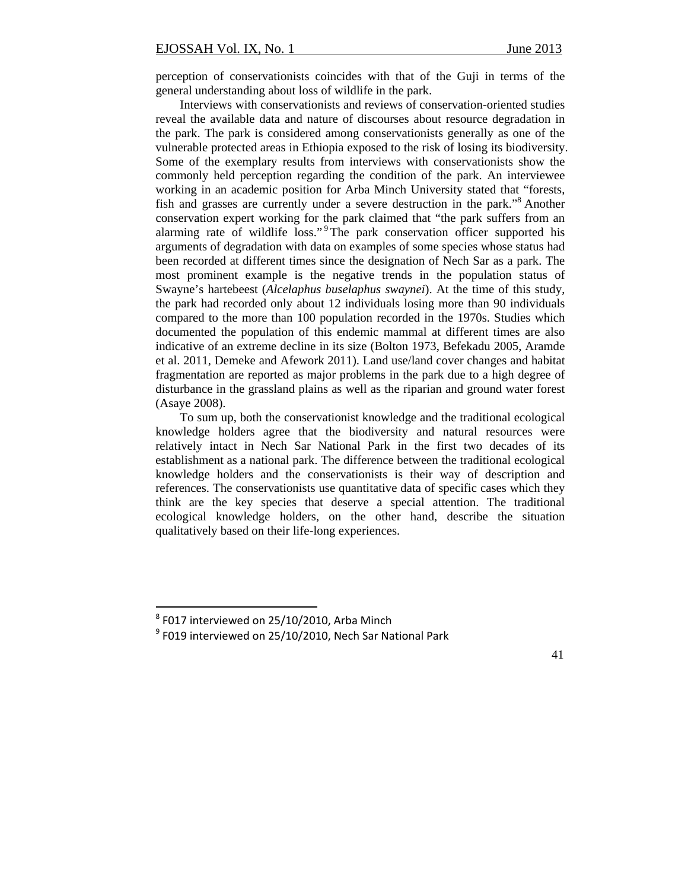perception of conservationists coincides with that of the Guji in terms of the general understanding about loss of wildlife in the park.

Interviews with conservationists and reviews of conservation-oriented studies reveal the available data and nature of discourses about resource degradation in the park. The park is considered among conservationists generally as one of the vulnerable protected areas in Ethiopia exposed to the risk of losing its biodiversity. Some of the exemplary results from interviews with conservationists show the commonly held perception regarding the condition of the park. An interviewee working in an academic position for Arba Minch University stated that "forests, fish and grasses are currently under a severe destruction in the park."8 Another conservation expert working for the park claimed that "the park suffers from an alarming rate of wildlife loss."<sup>9</sup> The park conservation officer supported his arguments of degradation with data on examples of some species whose status had been recorded at different times since the designation of Nech Sar as a park. The most prominent example is the negative trends in the population status of Swayne's hartebeest (*Alcelaphus buselaphus swaynei*). At the time of this study, the park had recorded only about 12 individuals losing more than 90 individuals compared to the more than 100 population recorded in the 1970s. Studies which documented the population of this endemic mammal at different times are also indicative of an extreme decline in its size (Bolton 1973, Befekadu 2005, Aramde et al. 2011, Demeke and Afework 2011). Land use/land cover changes and habitat fragmentation are reported as major problems in the park due to a high degree of disturbance in the grassland plains as well as the riparian and ground water forest (Asaye 2008).

To sum up, both the conservationist knowledge and the traditional ecological knowledge holders agree that the biodiversity and natural resources were relatively intact in Nech Sar National Park in the first two decades of its establishment as a national park. The difference between the traditional ecological knowledge holders and the conservationists is their way of description and references. The conservationists use quantitative data of specific cases which they think are the key species that deserve a special attention. The traditional ecological knowledge holders, on the other hand, describe the situation qualitatively based on their life-long experiences.

 $8$  F017 interviewed on 25/10/2010. Arba Minch

 $9$  F019 interviewed on 25/10/2010, Nech Sar National Park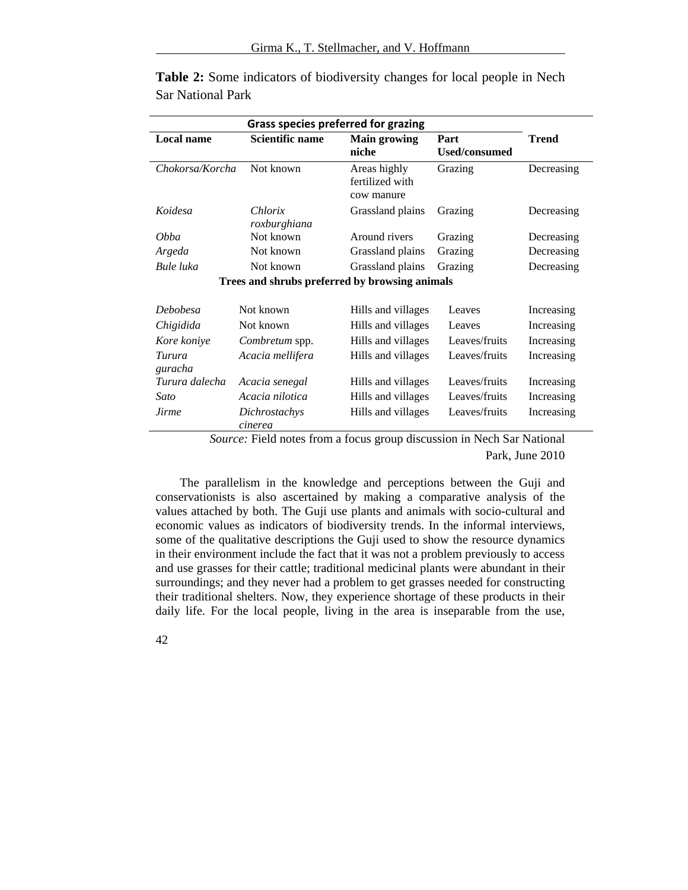| <b>Grass species preferred for grazing</b>     |                          |                                               |                              |              |  |
|------------------------------------------------|--------------------------|-----------------------------------------------|------------------------------|--------------|--|
| <b>Local name</b>                              | Scientific name          | <b>Main growing</b><br>niche                  | Part<br><b>Used/consumed</b> | <b>Trend</b> |  |
| Chokorsa/Korcha                                | Not known                | Areas highly<br>fertilized with<br>cow manure | Grazing                      | Decreasing   |  |
| Koidesa                                        | Chlorix<br>roxburghiana  | Grassland plains                              | Grazing                      | Decreasing   |  |
| <i>Obba</i>                                    | Not known                | Around rivers                                 | Grazing                      | Decreasing   |  |
| Argeda                                         | Not known                | Grassland plains                              | Grazing                      | Decreasing   |  |
| Bule luka                                      | Not known                | Grassland plains                              | Grazing                      | Decreasing   |  |
| Trees and shrubs preferred by browsing animals |                          |                                               |                              |              |  |
| <b>Debobesa</b>                                | Not known                | Hills and villages                            | Leaves                       | Increasing   |  |
| Chigidida                                      | Not known                | Hills and villages                            | Leaves                       | Increasing   |  |
| Kore koniye                                    | Combretum spp.           | Hills and villages                            | Leaves/fruits                | Increasing   |  |
| Turura<br>guracha                              | Acacia mellifera         | Hills and villages                            | Leaves/fruits                | Increasing   |  |
| Turura dalecha                                 | Acacia senegal           | Hills and villages                            | Leaves/fruits                | Increasing   |  |
| Sato                                           | Acacia nilotica          | Hills and villages                            | Leaves/fruits                | Increasing   |  |
| Jirme                                          | Dichrostachys<br>cinerea | Hills and villages                            | Leaves/fruits                | Increasing   |  |

**Table 2:** Some indicators of biodiversity changes for local people in Nech Sar National Park

> *Source:* Field notes from a focus group discussion in Nech Sar National Park, June 2010

The parallelism in the knowledge and perceptions between the Guji and conservationists is also ascertained by making a comparative analysis of the values attached by both. The Guji use plants and animals with socio-cultural and economic values as indicators of biodiversity trends. In the informal interviews, some of the qualitative descriptions the Guji used to show the resource dynamics in their environment include the fact that it was not a problem previously to access and use grasses for their cattle; traditional medicinal plants were abundant in their surroundings; and they never had a problem to get grasses needed for constructing their traditional shelters. Now, they experience shortage of these products in their daily life. For the local people, living in the area is inseparable from the use,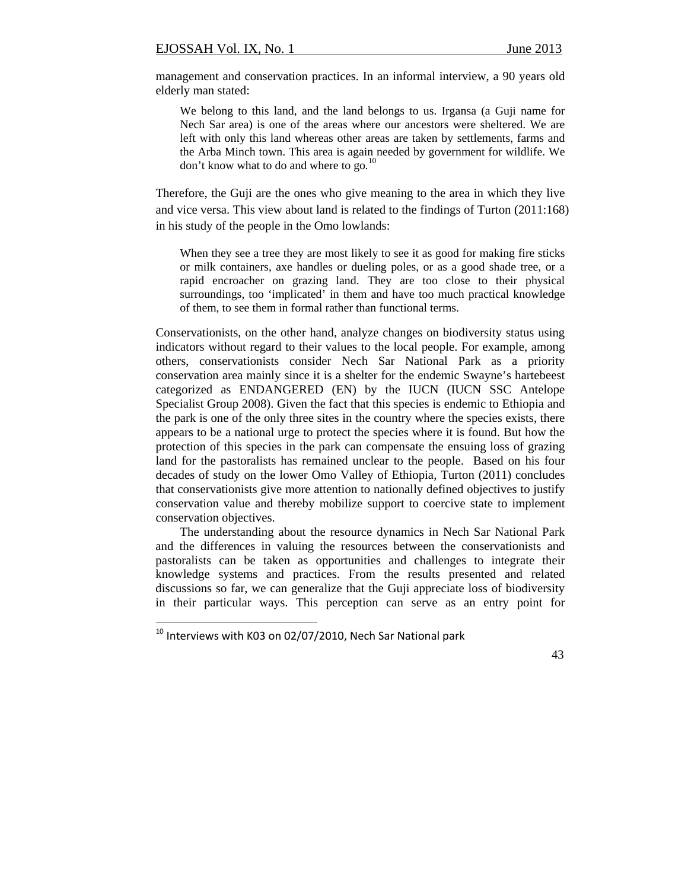management and conservation practices. In an informal interview, a 90 years old elderly man stated:

We belong to this land, and the land belongs to us. Irgansa (a Guji name for Nech Sar area) is one of the areas where our ancestors were sheltered. We are left with only this land whereas other areas are taken by settlements, farms and the Arba Minch town. This area is again needed by government for wildlife. We don't know what to do and where to go*.* 10

Therefore, the Guji are the ones who give meaning to the area in which they live and vice versa. This view about land is related to the findings of Turton (2011:168) in his study of the people in the Omo lowlands:

When they see a tree they are most likely to see it as good for making fire sticks or milk containers, axe handles or dueling poles, or as a good shade tree, or a rapid encroacher on grazing land. They are too close to their physical surroundings, too 'implicated' in them and have too much practical knowledge of them, to see them in formal rather than functional terms.

Conservationists, on the other hand, analyze changes on biodiversity status using indicators without regard to their values to the local people. For example, among others, conservationists consider Nech Sar National Park as a priority conservation area mainly since it is a shelter for the endemic Swayne's hartebeest categorized as ENDANGERED (EN) by the IUCN (IUCN SSC Antelope Specialist Group 2008). Given the fact that this species is endemic to Ethiopia and the park is one of the only three sites in the country where the species exists, there appears to be a national urge to protect the species where it is found. But how the protection of this species in the park can compensate the ensuing loss of grazing land for the pastoralists has remained unclear to the people. Based on his four decades of study on the lower Omo Valley of Ethiopia, Turton (2011) concludes that conservationists give more attention to nationally defined objectives to justify conservation value and thereby mobilize support to coercive state to implement conservation objectives.

The understanding about the resource dynamics in Nech Sar National Park and the differences in valuing the resources between the conservationists and pastoralists can be taken as opportunities and challenges to integrate their knowledge systems and practices. From the results presented and related discussions so far, we can generalize that the Guji appreciate loss of biodiversity in their particular ways. This perception can serve as an entry point for

 $10$  Interviews with K03 on 02/07/2010, Nech Sar National park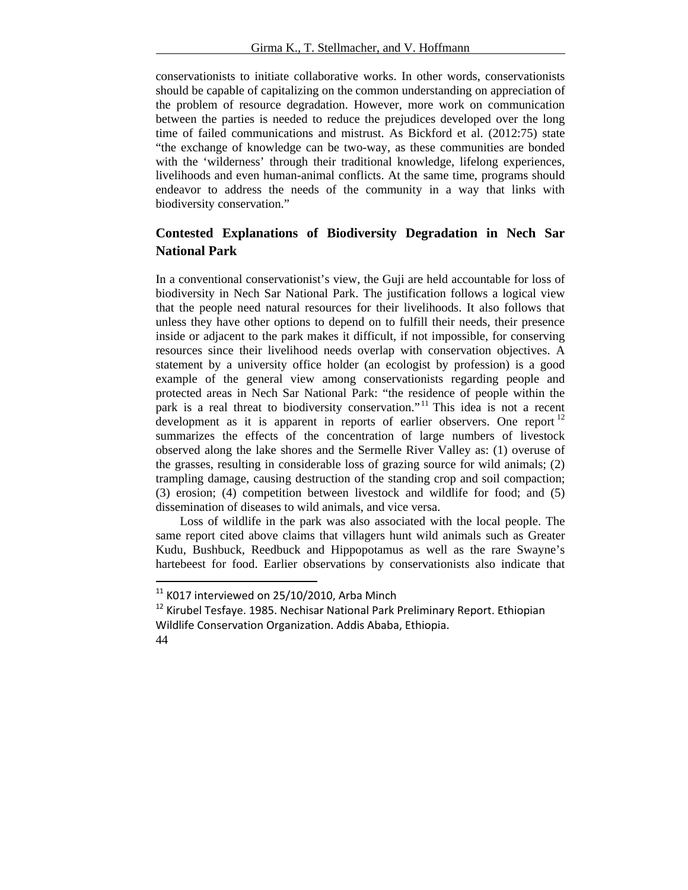conservationists to initiate collaborative works. In other words, conservationists should be capable of capitalizing on the common understanding on appreciation of the problem of resource degradation. However, more work on communication between the parties is needed to reduce the prejudices developed over the long time of failed communications and mistrust. As Bickford et al. (2012:75) state "the exchange of knowledge can be two-way, as these communities are bonded with the 'wilderness' through their traditional knowledge, lifelong experiences, livelihoods and even human-animal conflicts. At the same time, programs should endeavor to address the needs of the community in a way that links with biodiversity conservation."

# **Contested Explanations of Biodiversity Degradation in Nech Sar National Park**

In a conventional conservationist's view, the Guji are held accountable for loss of biodiversity in Nech Sar National Park. The justification follows a logical view that the people need natural resources for their livelihoods. It also follows that unless they have other options to depend on to fulfill their needs, their presence inside or adjacent to the park makes it difficult, if not impossible, for conserving resources since their livelihood needs overlap with conservation objectives. A statement by a university office holder (an ecologist by profession) is a good example of the general view among conservationists regarding people and protected areas in Nech Sar National Park: "the residence of people within the park is a real threat to biodiversity conservation."<sup>11</sup> This idea is not a recent development as it is apparent in reports of earlier observers. One report  $12$ summarizes the effects of the concentration of large numbers of livestock observed along the lake shores and the Sermelle River Valley as: (1) overuse of the grasses, resulting in considerable loss of grazing source for wild animals; (2) trampling damage, causing destruction of the standing crop and soil compaction; (3) erosion; (4) competition between livestock and wildlife for food; and (5) dissemination of diseases to wild animals, and vice versa.

Loss of wildlife in the park was also associated with the local people. The same report cited above claims that villagers hunt wild animals such as Greater Kudu, Bushbuck, Reedbuck and Hippopotamus as well as the rare Swayne's hartebeest for food. Earlier observations by conservationists also indicate that

 $11$  K017 interviewed on 25/10/2010, Arba Minch

<sup>44</sup>   $12$  Kirubel Tesfaye. 1985. Nechisar National Park Preliminary Report. Ethiopian Wildlife Conservation Organization. Addis Ababa, Ethiopia.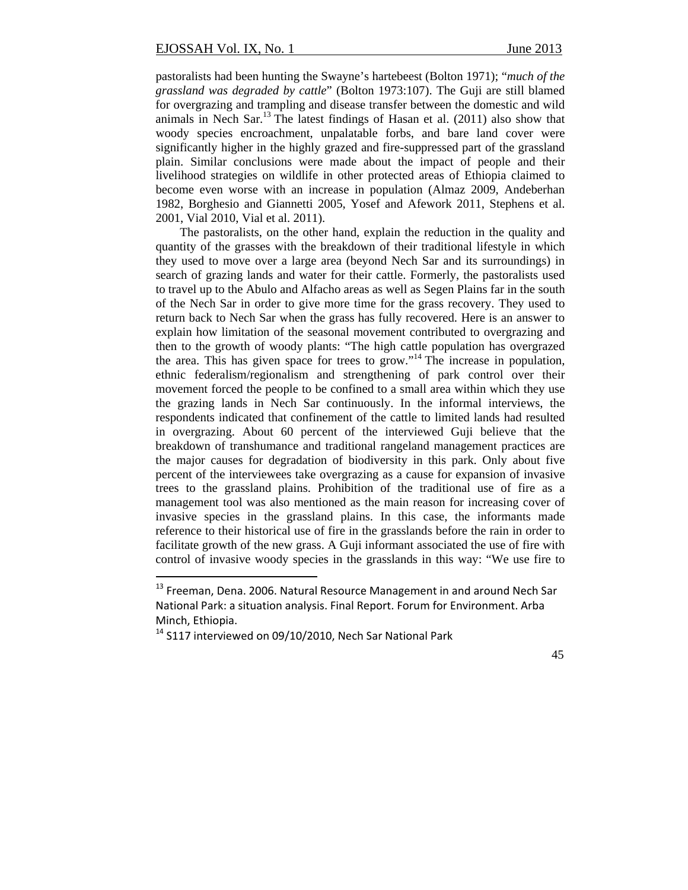pastoralists had been hunting the Swayne's hartebeest (Bolton 1971); "*much of the grassland was degraded by cattle*" (Bolton 1973:107). The Guji are still blamed for overgrazing and trampling and disease transfer between the domestic and wild animals in Nech Sar.13 The latest findings of Hasan et al. (2011) also show that woody species encroachment, unpalatable forbs, and bare land cover were significantly higher in the highly grazed and fire-suppressed part of the grassland plain. Similar conclusions were made about the impact of people and their livelihood strategies on wildlife in other protected areas of Ethiopia claimed to become even worse with an increase in population (Almaz 2009, Andeberhan 1982, Borghesio and Giannetti 2005, Yosef and Afework 2011, Stephens et al. 2001, Vial 2010, Vial et al. 2011).

The pastoralists, on the other hand, explain the reduction in the quality and quantity of the grasses with the breakdown of their traditional lifestyle in which they used to move over a large area (beyond Nech Sar and its surroundings) in search of grazing lands and water for their cattle. Formerly, the pastoralists used to travel up to the Abulo and Alfacho areas as well as Segen Plains far in the south of the Nech Sar in order to give more time for the grass recovery. They used to return back to Nech Sar when the grass has fully recovered. Here is an answer to explain how limitation of the seasonal movement contributed to overgrazing and then to the growth of woody plants: "The high cattle population has overgrazed the area. This has given space for trees to grow."<sup>14</sup> The increase in population, ethnic federalism/regionalism and strengthening of park control over their movement forced the people to be confined to a small area within which they use the grazing lands in Nech Sar continuously. In the informal interviews, the respondents indicated that confinement of the cattle to limited lands had resulted in overgrazing. About 60 percent of the interviewed Guji believe that the breakdown of transhumance and traditional rangeland management practices are the major causes for degradation of biodiversity in this park. Only about five percent of the interviewees take overgrazing as a cause for expansion of invasive trees to the grassland plains. Prohibition of the traditional use of fire as a management tool was also mentioned as the main reason for increasing cover of invasive species in the grassland plains. In this case, the informants made reference to their historical use of fire in the grasslands before the rain in order to facilitate growth of the new grass. A Guji informant associated the use of fire with control of invasive woody species in the grasslands in this way: "We use fire to

 $13$  Freeman, Dena. 2006. Natural Resource Management in and around Nech Sar National Park: a situation analysis. Final Report. Forum for Environment. Arba Minch, Ethiopia.

 $14$  S117 interviewed on 09/10/2010, Nech Sar National Park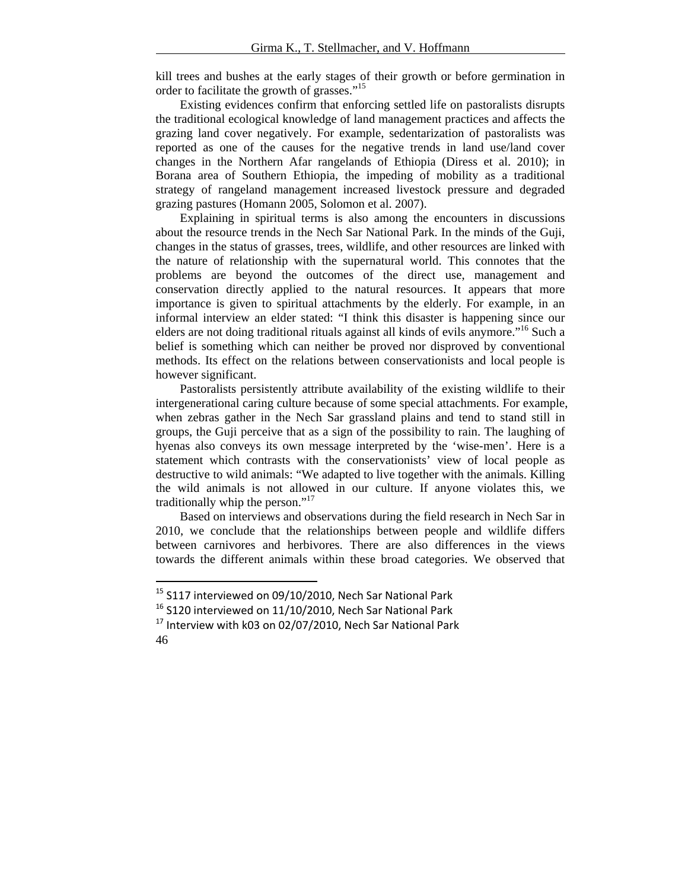kill trees and bushes at the early stages of their growth or before germination in order to facilitate the growth of grasses."<sup>15</sup>

Existing evidences confirm that enforcing settled life on pastoralists disrupts the traditional ecological knowledge of land management practices and affects the grazing land cover negatively. For example, sedentarization of pastoralists was reported as one of the causes for the negative trends in land use/land cover changes in the Northern Afar rangelands of Ethiopia (Diress et al. 2010); in Borana area of Southern Ethiopia, the impeding of mobility as a traditional strategy of rangeland management increased livestock pressure and degraded grazing pastures (Homann 2005, Solomon et al. 2007).

Explaining in spiritual terms is also among the encounters in discussions about the resource trends in the Nech Sar National Park. In the minds of the Guji, changes in the status of grasses, trees, wildlife, and other resources are linked with the nature of relationship with the supernatural world. This connotes that the problems are beyond the outcomes of the direct use, management and conservation directly applied to the natural resources. It appears that more importance is given to spiritual attachments by the elderly. For example, in an informal interview an elder stated: "I think this disaster is happening since our elders are not doing traditional rituals against all kinds of evils anymore.<sup>"16</sup> Such a belief is something which can neither be proved nor disproved by conventional methods. Its effect on the relations between conservationists and local people is however significant.

Pastoralists persistently attribute availability of the existing wildlife to their intergenerational caring culture because of some special attachments. For example, when zebras gather in the Nech Sar grassland plains and tend to stand still in groups, the Guji perceive that as a sign of the possibility to rain. The laughing of hyenas also conveys its own message interpreted by the 'wise-men'. Here is a statement which contrasts with the conservationists' view of local people as destructive to wild animals: "We adapted to live together with the animals. Killing the wild animals is not allowed in our culture. If anyone violates this, we traditionally whip the person."<sup>17</sup>

Based on interviews and observations during the field research in Nech Sar in 2010, we conclude that the relationships between people and wildlife differs between carnivores and herbivores. There are also differences in the views towards the different animals within these broad categories. We observed that

<sup>&</sup>lt;sup>15</sup> S117 interviewed on 09/10/2010, Nech Sar National Park

 $16$  S120 interviewed on 11/10/2010, Nech Sar National Park

<sup>46</sup>   $17$  Interview with k03 on 02/07/2010, Nech Sar National Park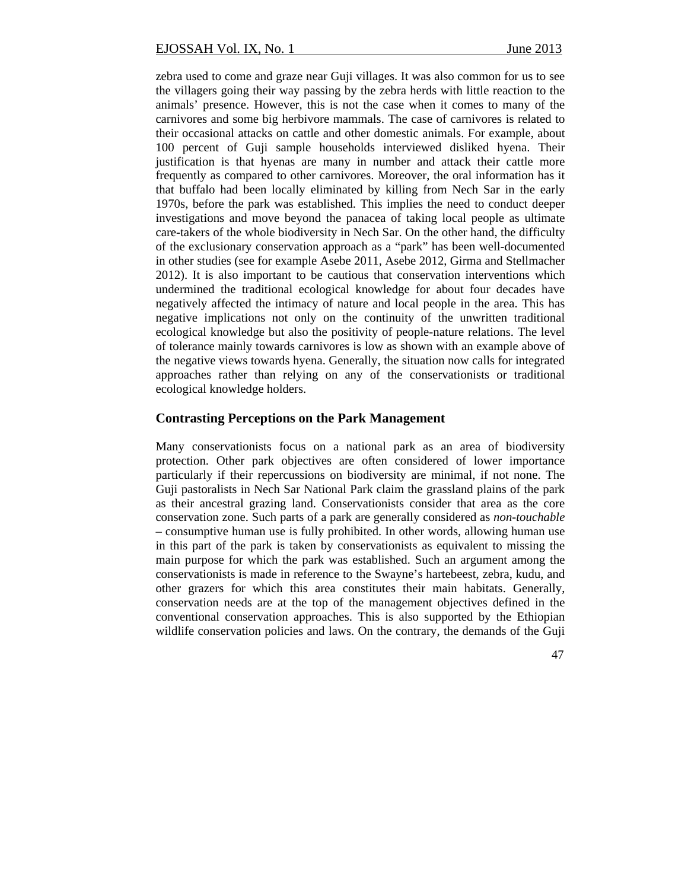zebra used to come and graze near Guji villages. It was also common for us to see the villagers going their way passing by the zebra herds with little reaction to the animals' presence. However, this is not the case when it comes to many of the carnivores and some big herbivore mammals. The case of carnivores is related to their occasional attacks on cattle and other domestic animals. For example, about 100 percent of Guji sample households interviewed disliked hyena. Their justification is that hyenas are many in number and attack their cattle more frequently as compared to other carnivores. Moreover, the oral information has it that buffalo had been locally eliminated by killing from Nech Sar in the early 1970s, before the park was established. This implies the need to conduct deeper investigations and move beyond the panacea of taking local people as ultimate care-takers of the whole biodiversity in Nech Sar. On the other hand, the difficulty of the exclusionary conservation approach as a "park" has been well-documented in other studies (see for example Asebe 2011, Asebe 2012, Girma and Stellmacher 2012). It is also important to be cautious that conservation interventions which undermined the traditional ecological knowledge for about four decades have negatively affected the intimacy of nature and local people in the area. This has negative implications not only on the continuity of the unwritten traditional ecological knowledge but also the positivity of people-nature relations. The level of tolerance mainly towards carnivores is low as shown with an example above of the negative views towards hyena. Generally, the situation now calls for integrated approaches rather than relying on any of the conservationists or traditional ecological knowledge holders.

### **Contrasting Perceptions on the Park Management**

Many conservationists focus on a national park as an area of biodiversity protection. Other park objectives are often considered of lower importance particularly if their repercussions on biodiversity are minimal, if not none. The Guji pastoralists in Nech Sar National Park claim the grassland plains of the park as their ancestral grazing land. Conservationists consider that area as the core conservation zone. Such parts of a park are generally considered as *non-touchable* – consumptive human use is fully prohibited. In other words, allowing human use in this part of the park is taken by conservationists as equivalent to missing the main purpose for which the park was established. Such an argument among the conservationists is made in reference to the Swayne's hartebeest, zebra, kudu, and other grazers for which this area constitutes their main habitats. Generally, conservation needs are at the top of the management objectives defined in the conventional conservation approaches. This is also supported by the Ethiopian wildlife conservation policies and laws. On the contrary, the demands of the Guji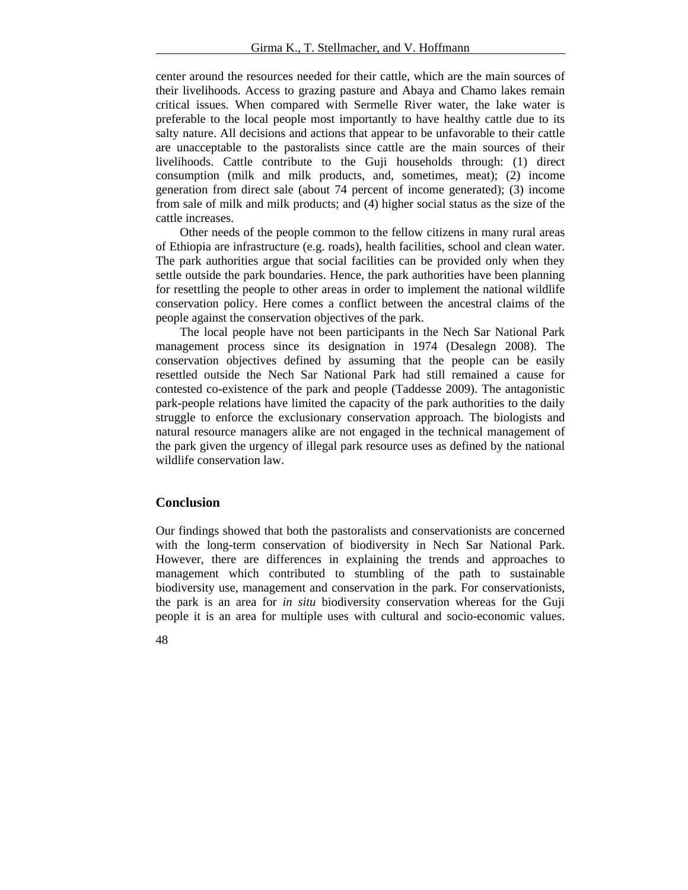center around the resources needed for their cattle, which are the main sources of their livelihoods. Access to grazing pasture and Abaya and Chamo lakes remain critical issues. When compared with Sermelle River water, the lake water is preferable to the local people most importantly to have healthy cattle due to its salty nature. All decisions and actions that appear to be unfavorable to their cattle are unacceptable to the pastoralists since cattle are the main sources of their livelihoods. Cattle contribute to the Guji households through: (1) direct consumption (milk and milk products, and, sometimes, meat); (2) income generation from direct sale (about 74 percent of income generated); (3) income from sale of milk and milk products; and (4) higher social status as the size of the cattle increases.

Other needs of the people common to the fellow citizens in many rural areas of Ethiopia are infrastructure (e.g. roads), health facilities, school and clean water. The park authorities argue that social facilities can be provided only when they settle outside the park boundaries. Hence, the park authorities have been planning for resettling the people to other areas in order to implement the national wildlife conservation policy. Here comes a conflict between the ancestral claims of the people against the conservation objectives of the park.

The local people have not been participants in the Nech Sar National Park management process since its designation in 1974 (Desalegn 2008). The conservation objectives defined by assuming that the people can be easily resettled outside the Nech Sar National Park had still remained a cause for contested co-existence of the park and people (Taddesse 2009). The antagonistic park-people relations have limited the capacity of the park authorities to the daily struggle to enforce the exclusionary conservation approach. The biologists and natural resource managers alike are not engaged in the technical management of the park given the urgency of illegal park resource uses as defined by the national wildlife conservation law.

### **Conclusion**

Our findings showed that both the pastoralists and conservationists are concerned with the long-term conservation of biodiversity in Nech Sar National Park. However, there are differences in explaining the trends and approaches to management which contributed to stumbling of the path to sustainable biodiversity use, management and conservation in the park. For conservationists, the park is an area for *in situ* biodiversity conservation whereas for the Guji people it is an area for multiple uses with cultural and socio-economic values.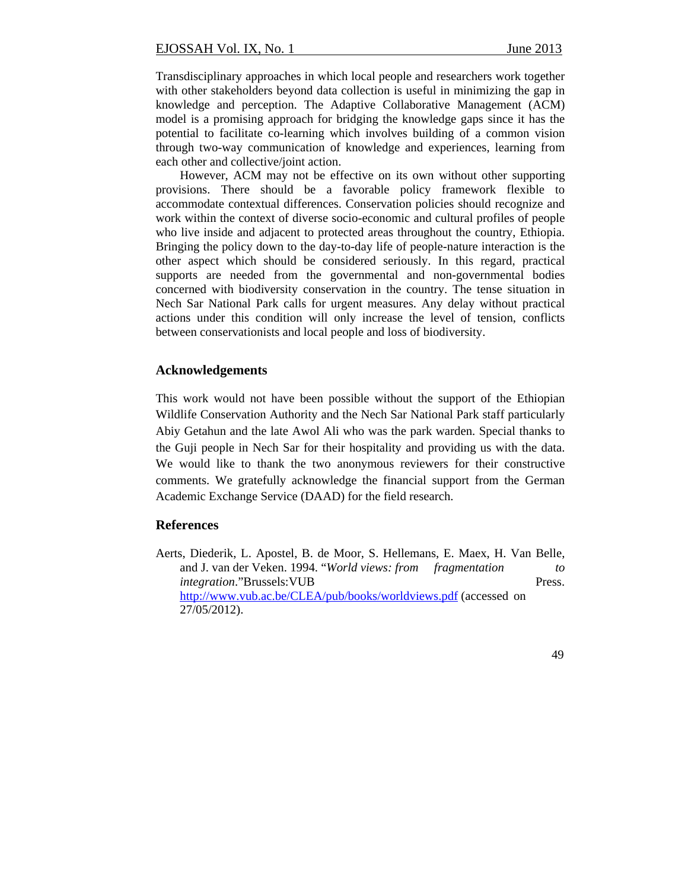Transdisciplinary approaches in which local people and researchers work together with other stakeholders beyond data collection is useful in minimizing the gap in knowledge and perception. The Adaptive Collaborative Management (ACM) model is a promising approach for bridging the knowledge gaps since it has the potential to facilitate co-learning which involves building of a common vision through two-way communication of knowledge and experiences, learning from each other and collective/joint action.

However, ACM may not be effective on its own without other supporting provisions. There should be a favorable policy framework flexible to accommodate contextual differences. Conservation policies should recognize and work within the context of diverse socio-economic and cultural profiles of people who live inside and adjacent to protected areas throughout the country, Ethiopia. Bringing the policy down to the day-to-day life of people-nature interaction is the other aspect which should be considered seriously. In this regard, practical supports are needed from the governmental and non-governmental bodies concerned with biodiversity conservation in the country. The tense situation in Nech Sar National Park calls for urgent measures. Any delay without practical actions under this condition will only increase the level of tension, conflicts between conservationists and local people and loss of biodiversity.

## **Acknowledgements**

This work would not have been possible without the support of the Ethiopian Wildlife Conservation Authority and the Nech Sar National Park staff particularly Abiy Getahun and the late Awol Ali who was the park warden. Special thanks to the Guji people in Nech Sar for their hospitality and providing us with the data. We would like to thank the two anonymous reviewers for their constructive comments. We gratefully acknowledge the financial support from the German Academic Exchange Service (DAAD) for the field research.

#### **References**

Aerts, Diederik, L. Apostel, B. de Moor, S. Hellemans, E. Maex, H. Van Belle, and J. van der Veken. 1994. "*World views: from fragmentation to integration*."Brussels: VUB Press. http://www.vub.ac.be/CLEA/pub/books/worldviews.pdf (accessed on 27/05/2012).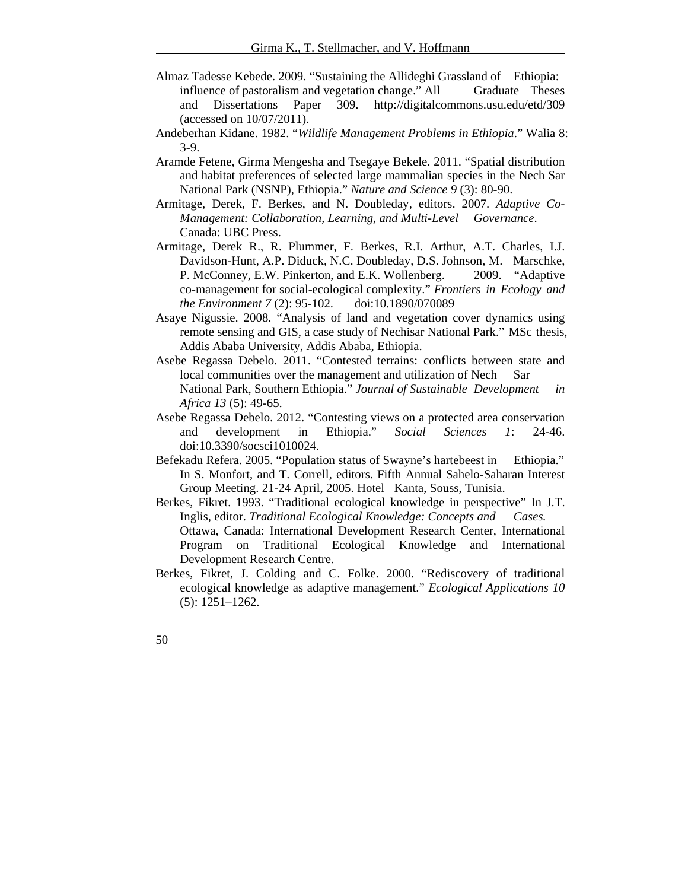- Almaz Tadesse Kebede. 2009. "Sustaining the Allideghi Grassland of Ethiopia: influence of pastoralism and vegetation change." All Graduate Theses and Dissertations Paper 309. http://digitalcommons.usu.edu/etd/309 (accessed on 10/07/2011).
- Andeberhan Kidane. 1982. "*Wildlife Management Problems in Ethiopia*." Walia 8: 3-9.
- Aramde Fetene, Girma Mengesha and Tsegaye Bekele. 2011. "Spatial distribution and habitat preferences of selected large mammalian species in the Nech Sar National Park (NSNP), Ethiopia." *Nature and Science 9* (3): 80-90.
- Armitage, Derek, F. Berkes, and N. Doubleday, editors. 2007. *Adaptive Co-Management: Collaboration, Learning, and Multi-Level Governance*. Canada: UBC Press.
- Armitage, Derek R., R. Plummer, F. Berkes, R.I. Arthur, A.T. Charles, I.J. Davidson-Hunt, A.P. Diduck, N.C. Doubleday, D.S. Johnson, M. Marschke, P. McConney, E.W. Pinkerton, and E.K. Wollenberg. 2009. "Adaptive co-management for social-ecological complexity." *Frontiers in Ecology and the Environment 7* (2): 95-102. doi:10.1890/070089
- Asaye Nigussie. 2008. "Analysis of land and vegetation cover dynamics using remote sensing and GIS, a case study of Nechisar National Park." MSc thesis, Addis Ababa University, Addis Ababa, Ethiopia.
- Asebe Regassa Debelo. 2011. "Contested terrains: conflicts between state and local communities over the management and utilization of Nech Sar National Park, Southern Ethiopia." *Journal of Sustainable Development in Africa 13* (5): 49-65.
- Asebe Regassa Debelo. 2012. "Contesting views on a protected area conservation and development in Ethiopia." *Social Sciences 1*: 24-46. doi:10.3390/socsci1010024.
- Befekadu Refera. 2005. "Population status of Swayne's hartebeest in Ethiopia." In S. Monfort, and T. Correll, editors. Fifth Annual Sahelo-Saharan Interest Group Meeting. 21-24 April, 2005. Hotel Kanta, Souss, Tunisia.
- Berkes, Fikret. 1993. "Traditional ecological knowledge in perspective" In J.T. Inglis, editor. *Traditional Ecological Knowledge: Concepts and Cases.* Ottawa, Canada: International Development Research Center, International Program on Traditional Ecological Knowledge and International Development Research Centre.
- Berkes, Fikret, J. Colding and C. Folke. 2000. "Rediscovery of traditional ecological knowledge as adaptive management." *Ecological Applications 10* (5): 1251–1262.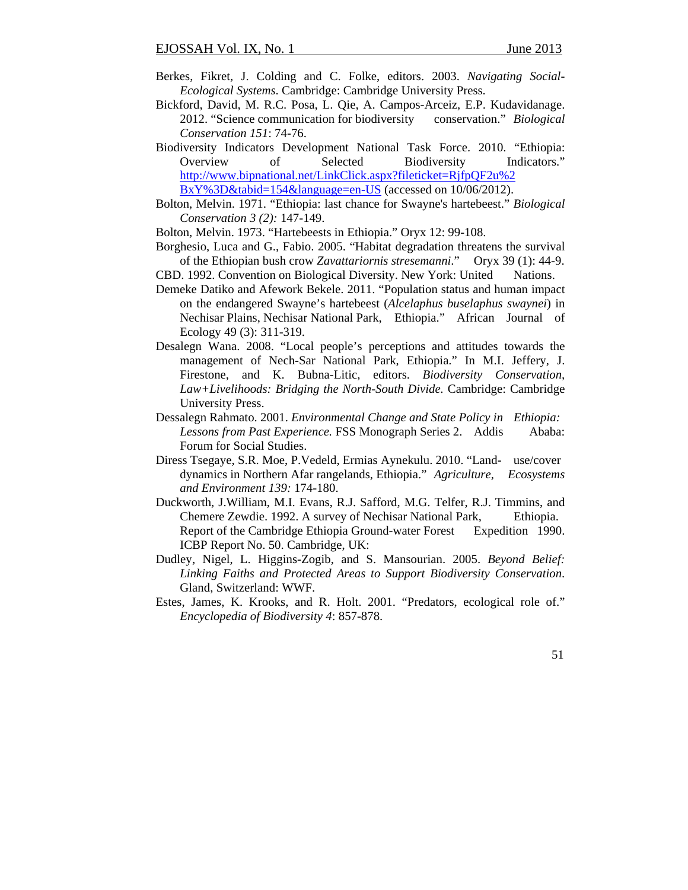- Berkes, Fikret, J. Colding and C. Folke, editors. 2003. *Navigating Social-Ecological Systems*. Cambridge: Cambridge University Press.
- Bickford, David, M. R.C. Posa, L. Qie, A. Campos-Arceiz, E.P. Kudavidanage. 2012. "Science communication for biodiversity conservation." *Biological Conservation 151*: 74-76.
- Biodiversity Indicators Development National Task Force. 2010. "Ethiopia: Overview of Selected Biodiversity Indicators." http://www.bipnational.net/LinkClick.aspx?fileticket=RjfpQF2u%2 BxY%3D&tabid=154&language=en-US (accessed on 10/06/2012).
- Bolton, Melvin. 1971. "Ethiopia: last chance for Swayne's hartebeest." *Biological Conservation 3 (2):* 147-149.
- Bolton, Melvin. 1973. "Hartebeests in Ethiopia." Oryx 12: 99-108.
- Borghesio, Luca and G., Fabio. 2005. "Habitat degradation threatens the survival of the Ethiopian bush crow *Zavattariornis stresemanni*." Oryx 39 (1): 44-9.
- CBD. 1992. Convention on Biological Diversity. New York: United Nations.
- Demeke Datiko and Afework Bekele. 2011. "Population status and human impact on the endangered Swayne's hartebeest (*Alcelaphus buselaphus swaynei*) in Nechisar Plains, Nechisar National Park, Ethiopia." African Journal of Ecology 49 (3): 311-319.
- Desalegn Wana. 2008. "Local people's perceptions and attitudes towards the management of Nech-Sar National Park, Ethiopia." In M.I. Jeffery, J. Firestone, and K. Bubna-Litic, editors. *Biodiversity Conservation, Law+Livelihoods: Bridging the North-South Divide.* Cambridge: Cambridge University Press.
- Dessalegn Rahmato. 2001. *Environmental Change and State Policy in Ethiopia:*  Lessons from Past Experience. FSS Monograph Series 2. Addis Ababa: Forum for Social Studies.
- Diress Tsegaye, S.R. Moe, P.Vedeld, Ermias Aynekulu. 2010. "Land- use/cover dynamics in Northern Afar rangelands, Ethiopia." *Agriculture, Ecosystems and Environment 139:* 174-180.
- Duckworth, J.William, M.I. Evans, R.J. Safford, M.G. Telfer, R.J. Timmins, and Chemere Zewdie. 1992. A survey of Nechisar National Park, Ethiopia. Report of the Cambridge Ethiopia Ground-water Forest Expedition 1990. ICBP Report No. 50. Cambridge, UK:
- Dudley, Nigel, L. Higgins-Zogib, and S. Mansourian. 2005. *Beyond Belief: Linking Faiths and Protected Areas to Support Biodiversity Conservation*. Gland, Switzerland: WWF.
- Estes, James, K. Krooks, and R. Holt. 2001. "Predators, ecological role of." *Encyclopedia of Biodiversity 4*: 857-878.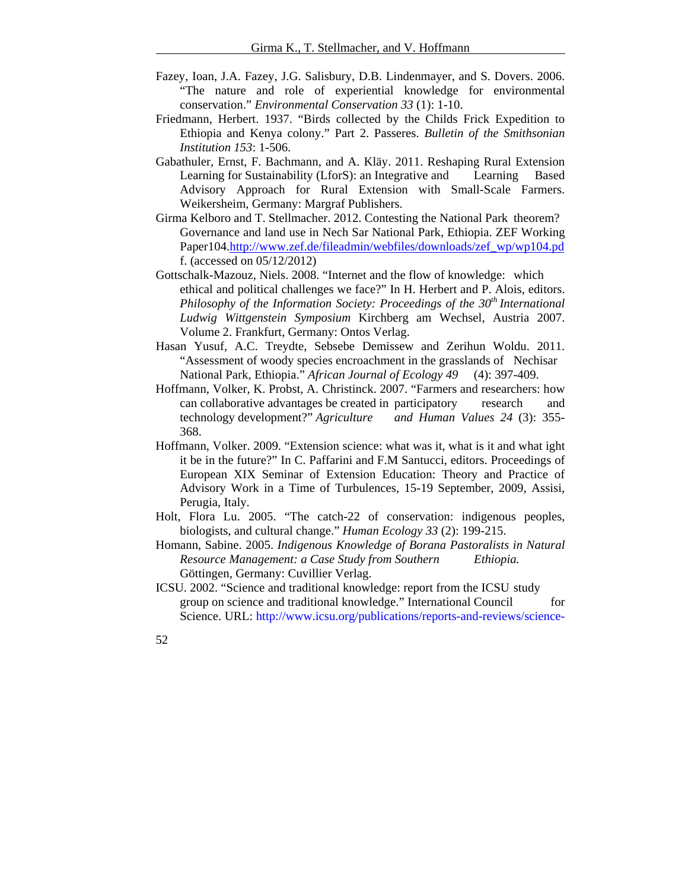- Fazey, Ioan, J.A. Fazey, J.G. Salisbury, D.B. Lindenmayer, and S. Dovers. 2006. "The nature and role of experiential knowledge for environmental conservation." *Environmental Conservation 33* (1): 1-10.
- Friedmann, Herbert. 1937. "Birds collected by the Childs Frick Expedition to Ethiopia and Kenya colony." Part 2. Passeres. *Bulletin of the Smithsonian Institution 153*: 1-506.
- Gabathuler, Ernst, F. Bachmann, and A. Kläy. 2011. Reshaping Rural Extension Learning for Sustainability (LforS): an Integrative and Learning Based Advisory Approach for Rural Extension with Small-Scale Farmers. Weikersheim, Germany: Margraf Publishers.
- Girma Kelboro and T. Stellmacher. 2012. Contesting the National Park theorem? Governance and land use in Nech Sar National Park, Ethiopia. ZEF Working Paper104.http://www.zef.de/fileadmin/webfiles/downloads/zef\_wp/wp104.pd f. (accessed on 05/12/2012)
- Gottschalk-Mazouz, Niels. 2008. "Internet and the flow of knowledge: which ethical and political challenges we face?" In H. Herbert and P. Alois, editors. *Philosophy of the Information Society: Proceedings of the 30th International Ludwig Wittgenstein Symposium* Kirchberg am Wechsel, Austria 2007. Volume 2. Frankfurt, Germany: Ontos Verlag.
- Hasan Yusuf, A.C. Treydte, Sebsebe Demissew and Zerihun Woldu. 2011. "Assessment of woody species encroachment in the grasslands of Nechisar National Park, Ethiopia." *African Journal of Ecology 49* (4): 397-409.
- Hoffmann, Volker, K. Probst, A. Christinck. 2007. "Farmers and researchers: how can collaborative advantages be created in participatory research and technology development?" *Agriculture and Human Values 24* (3): 355- 368.
- Hoffmann, Volker. 2009. "Extension science: what was it, what is it and what ight it be in the future?" In C. Paffarini and F.M Santucci, editors. Proceedings of European XIX Seminar of Extension Education: Theory and Practice of Advisory Work in a Time of Turbulences, 15-19 September, 2009, Assisi, Perugia, Italy.
- Holt, Flora Lu. 2005. "The catch-22 of conservation: indigenous peoples, biologists, and cultural change." *Human Ecology 33* (2): 199-215.
- Homann, Sabine. 2005. *Indigenous Knowledge of Borana Pastoralists in Natural Resource Management: a Case Study from Southern Ethiopia.* Göttingen, Germany: Cuvillier Verlag.
- ICSU. 2002. "Science and traditional knowledge: report from the ICSU study group on science and traditional knowledge." International Council for Science. URL: http://www.icsu.org/publications/reports-and-reviews/science-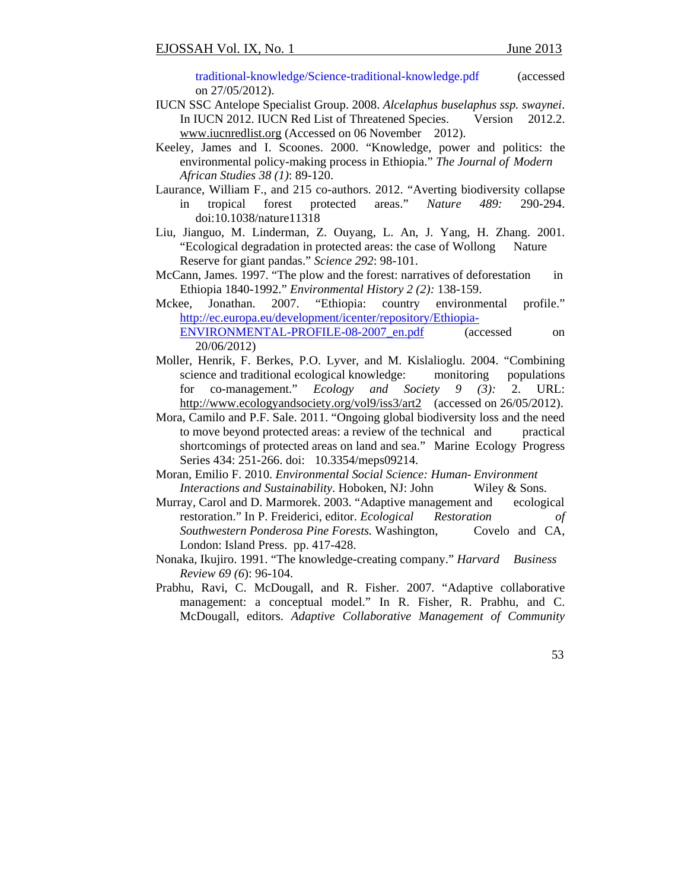traditional-knowledge/Science-traditional-knowledge.pdf (accessed on 27/05/2012).

- IUCN SSC Antelope Specialist Group. 2008. *Alcelaphus buselaphus ssp. swaynei*. In IUCN 2012. IUCN Red List of Threatened Species. Version 2012.2. www.iucnredlist.org (Accessed on 06 November 2012).
- Keeley, James and I. Scoones. 2000. "Knowledge, power and politics: the environmental policy-making process in Ethiopia." *The Journal of Modern African Studies 38 (1)*: 89-120.
- Laurance, William F., and 215 co-authors. 2012. "Averting biodiversity collapse in tropical forest protected areas." *Nature 489:* 290-294. doi:10.1038/nature11318
- Liu, Jianguo, M. Linderman, Z. Ouyang, L. An, J. Yang, H. Zhang. 2001. "Ecological degradation in protected areas: the case of Wollong Nature Reserve for giant pandas." *Science 292*: 98-101.
- McCann, James. 1997. "The plow and the forest: narratives of deforestation in Ethiopia 1840-1992." *Environmental History 2 (2):* 138-159.
- Mckee, Jonathan. 2007. "Ethiopia: country environmental profile." http://ec.europa.eu/development/icenter/repository/Ethiopia-ENVIRONMENTAL-PROFILE-08-2007 en.pdf (accessed on 20/06/2012)
- Moller, Henrik, F. Berkes, P.O. Lyver, and M. Kislalioglu. 2004. "Combining science and traditional ecological knowledge: monitoring populations for co-management." *Ecology and Society 9 (3):* 2. URL: http://www.ecologyandsociety.org/vol9/iss3/art2 (accessed on 26/05/2012).
- Mora, Camilo and P.F. Sale. 2011. "Ongoing global biodiversity loss and the need to move beyond protected areas: a review of the technical and practical shortcomings of protected areas on land and sea." Marine Ecology Progress Series 434: 251-266. doi: 10.3354/meps09214.
- Moran, Emilio F. 2010. *Environmental Social Science: Human- Environment Interactions and Sustainability*. Hoboken, NJ: John Wiley & Sons.
- Murray, Carol and D. Marmorek. 2003. "Adaptive management and ecological restoration." In P. Freiderici, editor. *Ecological Restoration of Southwestern Ponderosa Pine Forests.* Washington, Covelo and CA, London: Island Press. pp. 417-428.
- Nonaka, Ikujiro. 1991. "The knowledge-creating company." *Harvard Business Review 69 (6*): 96-104.
- Prabhu, Ravi, C. McDougall, and R. Fisher. 2007. "Adaptive collaborative management: a conceptual model." In R. Fisher, R. Prabhu, and C. McDougall, editors. *Adaptive Collaborative Management of Community*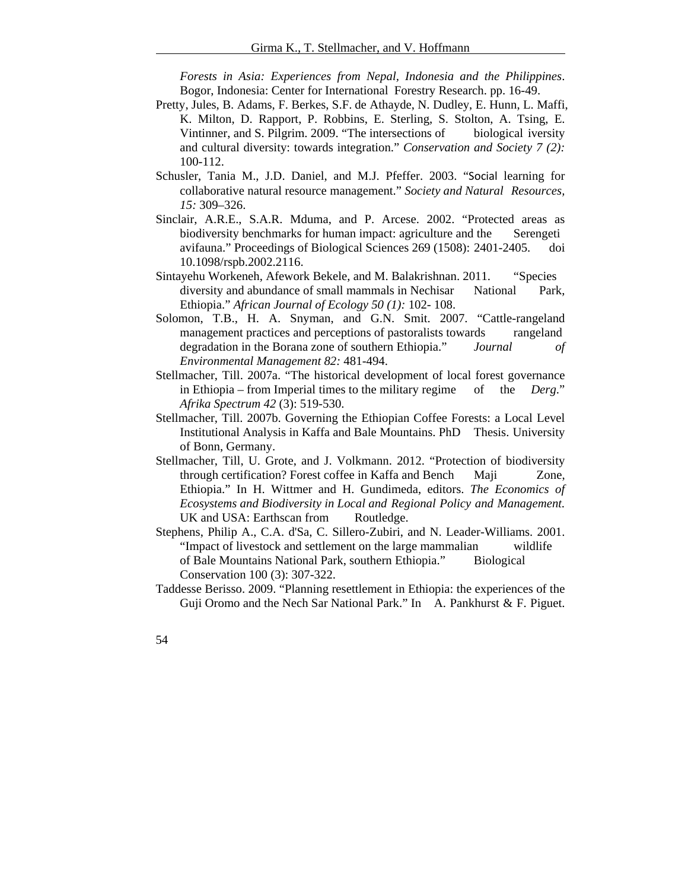*Forests in Asia: Experiences from Nepal, Indonesia and the Philippines*. Bogor, Indonesia: Center for International Forestry Research. pp. 16-49.

- Pretty, Jules, B. Adams, F. Berkes, S.F. de Athayde, N. Dudley, E. Hunn, L. Maffi, K. Milton, D. Rapport, P. Robbins, E. Sterling, S. Stolton, A. Tsing, E. Vintinner, and S. Pilgrim. 2009. "The intersections of biological iversity and cultural diversity: towards integration." *Conservation and Society 7 (2):* 100-112.
- Schusler, Tania M., J.D. Daniel, and M.J. Pfeffer. 2003. "Social learning for collaborative natural resource management." *Society and Natural Resources, 15:* 309–326.
- Sinclair, A.R.E., S.A.R. Mduma, and P. Arcese. 2002. "Protected areas as biodiversity benchmarks for human impact: agriculture and the Serengeti avifauna." Proceedings of Biological Sciences 269 (1508): 2401-2405. doi 10.1098/rspb.2002.2116.
- Sintayehu Workeneh, Afework Bekele, and M. Balakrishnan. 2011. "Species diversity and abundance of small mammals in Nechisar National Park, Ethiopia." *African Journal of Ecology 50 (1):* 102- 108.
- Solomon, T.B., H. A. Snyman, and G.N. Smit. 2007. "Cattle-rangeland management practices and perceptions of pastoralists towards rangeland degradation in the Borana zone of southern Ethiopia." *Journal of Environmental Management 82:* 481-494.
- Stellmacher, Till. 2007a. "The historical development of local forest governance in Ethiopia – from Imperial times to the military regime of the *Derg*." *Afrika Spectrum 42* (3): 519-530.
- Stellmacher, Till. 2007b. Governing the Ethiopian Coffee Forests: a Local Level Institutional Analysis in Kaffa and Bale Mountains. PhD Thesis. University of Bonn, Germany.
- Stellmacher, Till, U. Grote, and J. Volkmann. 2012. "Protection of biodiversity through certification? Forest coffee in Kaffa and Bench Maji Zone, Ethiopia." In H. Wittmer and H. Gundimeda, editors. *The Economics of Ecosystems and Biodiversity in Local and Regional Policy and Management.* UK and USA: Earthscan from Routledge.
- Stephens, Philip A., C.A. d'Sa, C. Sillero-Zubiri, and N. Leader-Williams. 2001. "Impact of livestock and settlement on the large mammalian wildlife of Bale Mountains National Park, southern Ethiopia." Biological Conservation 100 (3): 307-322.
- Taddesse Berisso. 2009. "Planning resettlement in Ethiopia: the experiences of the Guji Oromo and the Nech Sar National Park." In A. Pankhurst  $&$  F. Piguet.